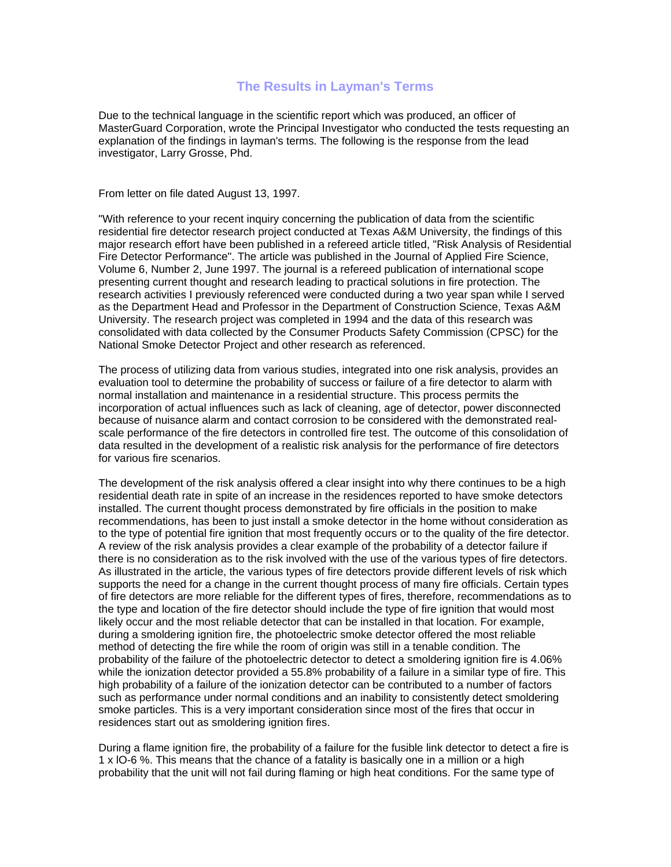## **The Results in Layman's Terms**

Due to the technical language in the scientific report which was produced, an officer of MasterGuard Corporation, wrote the Principal Investigator who conducted the tests requesting an explanation of the findings in layman's terms. The following is the response from the lead investigator, Larry Grosse, Phd.

From letter on file dated August 13, 1997.

"With reference to your recent inquiry concerning the publication of data from the scientific residential fire detector research project conducted at Texas A&M University, the findings of this major research effort have been published in a refereed article titled, "Risk Analysis of Residential Fire Detector Performance". The article was published in the Journal of Applied Fire Science, Volume 6, Number 2, June 1997. The journal is a refereed publication of international scope presenting current thought and research leading to practical solutions in fire protection. The research activities I previously referenced were conducted during a two year span while I served as the Department Head and Professor in the Department of Construction Science, Texas A&M University. The research project was completed in 1994 and the data of this research was consolidated with data collected by the Consumer Products Safety Commission (CPSC) for the National Smoke Detector Project and other research as referenced.

The process of utilizing data from various studies, integrated into one risk analysis, provides an evaluation tool to determine the probability of success or failure of a fire detector to alarm with normal installation and maintenance in a residential structure. This process permits the incorporation of actual influences such as lack of cleaning, age of detector, power disconnected because of nuisance alarm and contact corrosion to be considered with the demonstrated realscale performance of the fire detectors in controlled fire test. The outcome of this consolidation of data resulted in the development of a realistic risk analysis for the performance of fire detectors for various fire scenarios.

The development of the risk analysis offered a clear insight into why there continues to be a high residential death rate in spite of an increase in the residences reported to have smoke detectors installed. The current thought process demonstrated by fire officials in the position to make recommendations, has been to just install a smoke detector in the home without consideration as to the type of potential fire ignition that most frequently occurs or to the quality of the fire detector. A review of the risk analysis provides a clear example of the probability of a detector failure if there is no consideration as to the risk involved with the use of the various types of fire detectors. As illustrated in the article, the various types of fire detectors provide different levels of risk which supports the need for a change in the current thought process of many fire officials. Certain types of fire detectors are more reliable for the different types of fires, therefore, recommendations as to the type and location of the fire detector should include the type of fire ignition that would most likely occur and the most reliable detector that can be installed in that location. For example, during a smoldering ignition fire, the photoelectric smoke detector offered the most reliable method of detecting the fire while the room of origin was still in a tenable condition. The probability of the failure of the photoelectric detector to detect a smoldering ignition fire is 4.06% while the ionization detector provided a 55.8% probability of a failure in a similar type of fire. This high probability of a failure of the ionization detector can be contributed to a number of factors such as performance under normal conditions and an inability to consistently detect smoldering smoke particles. This is a very important consideration since most of the fires that occur in residences start out as smoldering ignition fires.

During a flame ignition fire, the probability of a failure for the fusible link detector to detect a fire is 1 x lO-6 %. This means that the chance of a fatality is basically one in a million or a high probability that the unit will not fail during flaming or high heat conditions. For the same type of